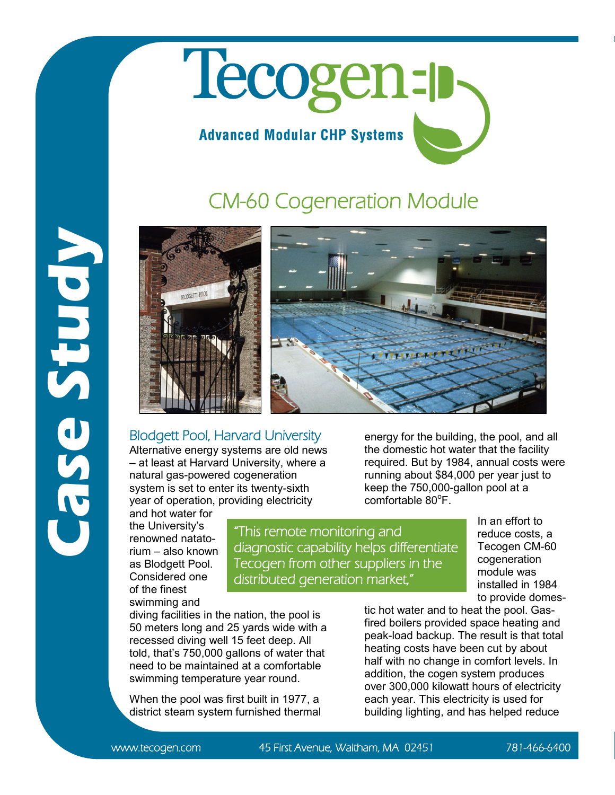## Tecogen-p **Advanced Modular CHP Systems**

## CM-60 Cogeneration Module





## Blodgett Pool, Harvard University

Alternative energy systems are old news – at least at Harvard University, where a natural gas-powered cogeneration system is set to enter its twenty-sixth year of operation, providing electricity

and hot water for the University's renowned natatorium – also known as Blodgett Pool. Considered one of the finest swimming and

**Case Study**

"This remote monitoring and diagnostic capability helps differentiate Tecogen from other suppliers in the distributed generation market,"

energy for the building, the pool, and all the domestic hot water that the facility required. But by 1984, annual costs were running about \$84,000 per year just to keep the 750,000-gallon pool at a comfortable 80°F.

> In an effort to reduce costs, a Tecogen CM-60 cogeneration module was installed in 1984 to provide domes-

diving facilities in the nation, the pool is 50 meters long and 25 yards wide with a recessed diving well 15 feet deep. All told, that's 750,000 gallons of water that need to be maintained at a comfortable swimming temperature year round.

When the pool was first built in 1977, a district steam system furnished thermal tic hot water and to heat the pool. Gasfired boilers provided space heating and peak-load backup. The result is that total heating costs have been cut by about half with no change in comfort levels. In addition, the cogen system produces over 300,000 kilowatt hours of electricity each year. This electricity is used for building lighting, and has helped reduce

www.tecogen.com 45 First Avenue, Waltham, MA 02451 781-466-6400